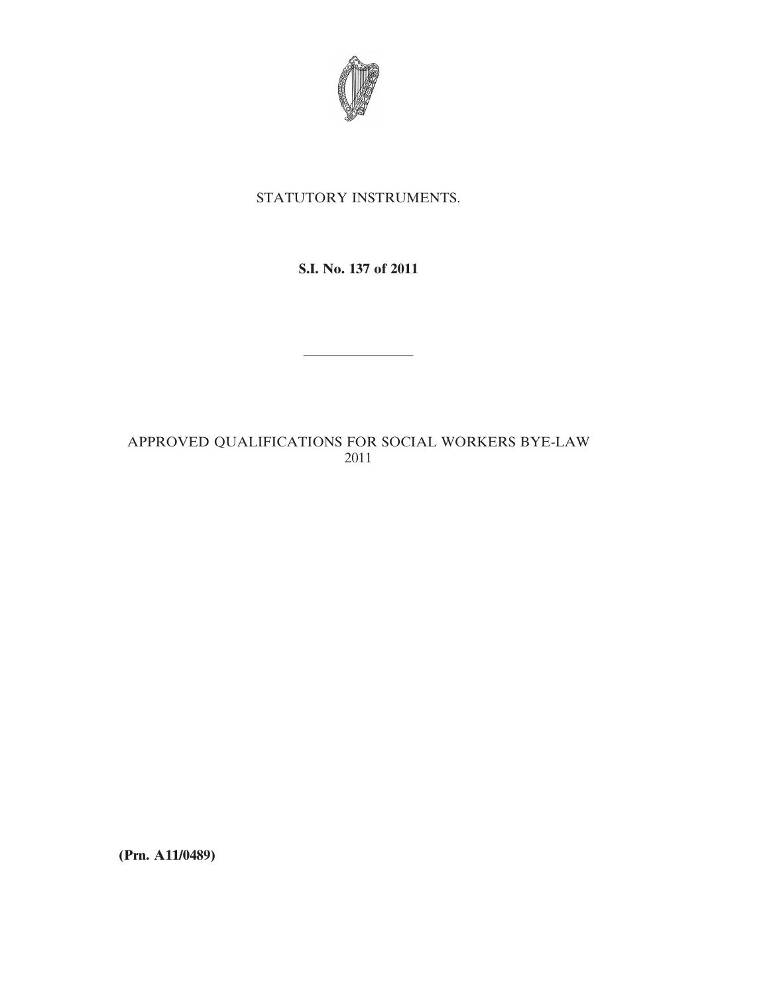

### STATUTORY INSTRUMENTS.

# **S.I. No. 137 of 2011**

————————

# APPROVED QUALIFICATIONS FOR SOCIAL WORKERS BYE-LAW 2011

**(Prn. A11/0489)**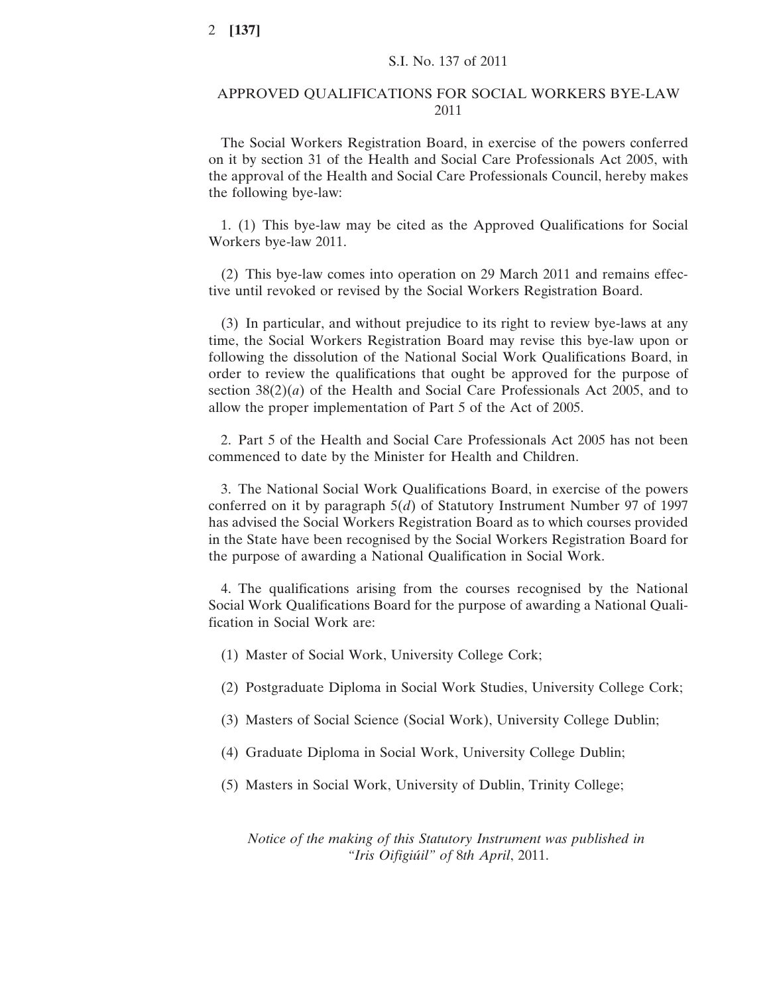#### APPROVED QUALIFICATIONS FOR SOCIAL WORKERS BYE-LAW 2011

The Social Workers Registration Board, in exercise of the powers conferred on it by section 31 of the Health and Social Care Professionals Act 2005, with the approval of the Health and Social Care Professionals Council, hereby makes the following bye-law:

1. (1) This bye-law may be cited as the Approved Qualifications for Social Workers bye-law 2011.

(2) This bye-law comes into operation on 29 March 2011 and remains effective until revoked or revised by the Social Workers Registration Board.

(3) In particular, and without prejudice to its right to review bye-laws at any time, the Social Workers Registration Board may revise this bye-law upon or following the dissolution of the National Social Work Qualifications Board, in order to review the qualifications that ought be approved for the purpose of section 38(2)(*a*) of the Health and Social Care Professionals Act 2005, and to allow the proper implementation of Part 5 of the Act of 2005.

2. Part 5 of the Health and Social Care Professionals Act 2005 has not been commenced to date by the Minister for Health and Children.

3. The National Social Work Qualifications Board, in exercise of the powers conferred on it by paragraph 5(*d*) of Statutory Instrument Number 97 of 1997 has advised the Social Workers Registration Board as to which courses provided in the State have been recognised by the Social Workers Registration Board for the purpose of awarding a National Qualification in Social Work.

4. The qualifications arising from the courses recognised by the National Social Work Qualifications Board for the purpose of awarding a National Qualification in Social Work are:

- (1) Master of Social Work, University College Cork;
- (2) Postgraduate Diploma in Social Work Studies, University College Cork;
- (3) Masters of Social Science (Social Work), University College Dublin;
- (4) Graduate Diploma in Social Work, University College Dublin;
- (5) Masters in Social Work, University of Dublin, Trinity College;

*Notice of the making of this Statutory Instrument was published in "Iris Oifigiúil" of* 8*th April*, 2011.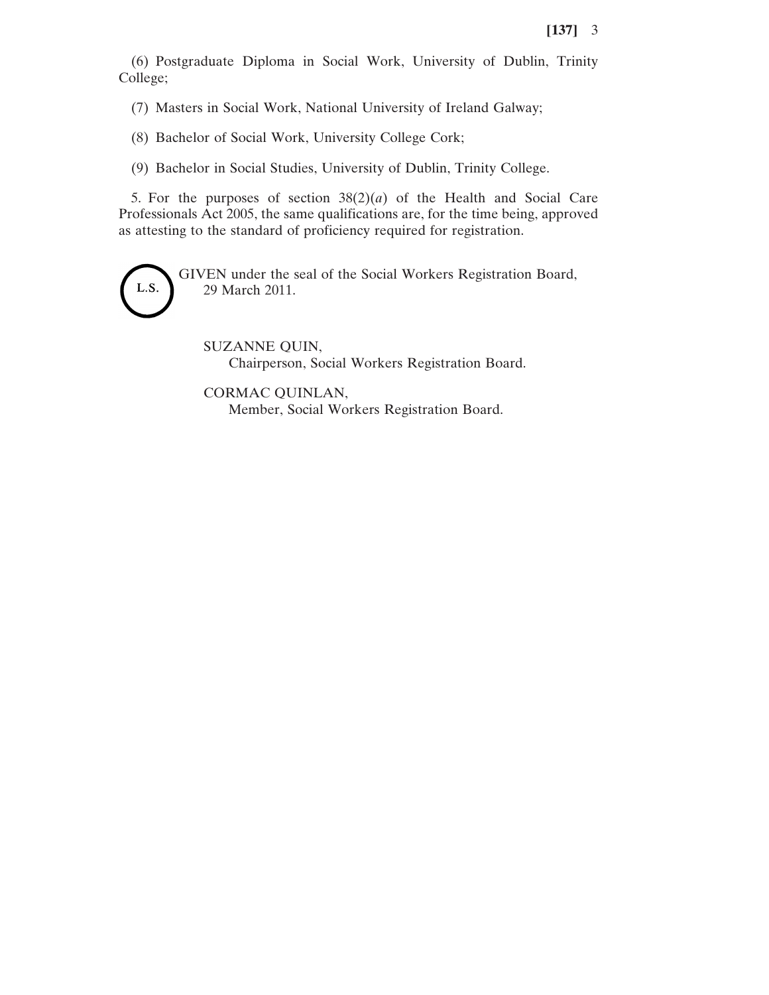(6) Postgraduate Diploma in Social Work, University of Dublin, Trinity College;

(7) Masters in Social Work, National University of Ireland Galway;

(8) Bachelor of Social Work, University College Cork;

(9) Bachelor in Social Studies, University of Dublin, Trinity College.

5. For the purposes of section  $38(2)(a)$  of the Health and Social Care Professionals Act 2005, the same qualifications are, for the time being, approved as attesting to the standard of proficiency required for registration.



GIVEN under the seal of the Social Workers Registration Board, 29 March 2011.

SUZANNE QUIN, Chairperson, Social Workers Registration Board.

CORMAC QUINLAN, Member, Social Workers Registration Board.